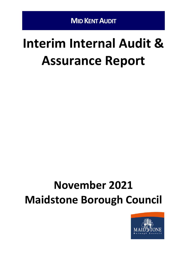# **Interim Internal Audit & Assurance Report**

# **November 2021 Maidstone Borough Council**

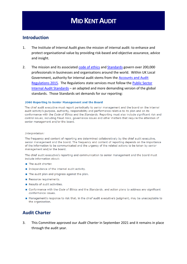#### **Introduction**

- 1. The Institute of Internal Audit gives the mission of internal audit: to enhance and protect organisational value by providing risk-based and objective assurance, advice and insight.
- 2. The mission and its associated [code of ethics](https://na.theiia.org/standards-guidance/mandatory-guidance/Pages/Code-of-Ethics.aspx) and [Standards](https://www.iia.org.uk/resources/global-guidance/international-standards/) govern over 200,000 professionals in businesses and organisations around the world. Within UK Local Government, authority for internal audit stems from the [Accounts and Audit](http://www.legislation.gov.uk/uksi/2015/234/pdfs/uksi_20150234_en.pdf)  [Regulations 2015.](http://www.legislation.gov.uk/uksi/2015/234/pdfs/uksi_20150234_en.pdf) The Regulations state services must follow the [Public Sector](http://www.cipfa.org/policy-and-guidance/standards/public-sector-internal-audit-standards)  [Internal Audit Standards](http://www.cipfa.org/policy-and-guidance/standards/public-sector-internal-audit-standards) – an adapted and more demanding version of the global standards. Those Standards set demands for our reporting:

#### 2060 Reporting to Senior Management and the Board

The chief audit executive must report periodically to senior management and the board on the internal audit activity's purpose, authority, responsibility and performance relative to its plan and on its conformance with the Code of Ethics and the Standards. Reporting must also include significant risk and control issues, including fraud risks, governance issues and other matters that require the attention of senior management and/or the board.

#### Interpretation:

The frequency and content of reporting are determined collaboratively by the chief audit executive, senior management and the board. The frequency and content of reporting depends on the importance of the information to be communicated and the urgency of the related actions to be taken by senior management and/or the board.

The chief audit executive's reporting and communication to senior management and the board must include information about:

- The audit charter.
- Independence of the internal audit activity.
- The audit plan and progress against the plan.
- Resource requirements.
- Results of audit activities.
- Conformance with the Code of Ethics and the Standards, and action plans to address any significant conformance issues.
- Management's response to risk that, in the chief audit executive's judgment, may be unacceptable to the organisation.

#### **Audit Charter**

3. This Committee approved our *Audit Charter* in September 2021 and it remains in place through the audit year.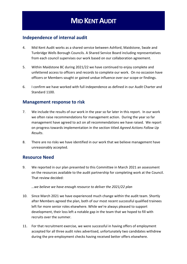#### **Independence of internal audit**

- 4. Mid Kent Audit works as a shared service between Ashford, Maidstone, Swale and Tunbridge Wells Borough Councils. A Shared Service Board including representatives from each council supervises our work based on our collaboration agreement.
- 5. Within Maidstone BC during 2021/22 we have continued to enjoy complete and unfettered access to officers and records to complete our work. On no occasion have officers or Members sought or gained undue influence over our scope or findings.
- 6. I confirm we have worked with full independence as defined in our Audit Charter and Standard 1100.

#### **Management response to risk**

- 7. We include the results of our work in the year so far later in this report. In our work we often raise recommendations for management action. During the year so far management have agreed to act on all recommendations we have raised. We report on progress towards implementation in the section titled *Agreed Actions Follow Up Results*.
- 8. There are no risks we have identified in our work that we believe management have unreasonably accepted.

#### **Resource Need**

9. We reported in our plan presented to this Committee in March 2021 an assessment on the resources available to the audit partnership for completing work at the Council. That review decided:

#### *…we believe we have enough resource to deliver the 2021/22 plan*

- 10. Since March 2021 we have experienced much change within the audit team. Shortly after Members agreed the plan, both of our most recent successful qualified trainees left for more senior roles elsewhere. While we're always pleased to support development, their loss left a notable gap in the team that we hoped to fill with recruits over the summer.
- 11. For that recruitment exercise, we were successful in having offers of employment accepted for all three audit roles advertised, unfortunately two candidates withdrew during the pre-employment checks having received better offers elsewhere.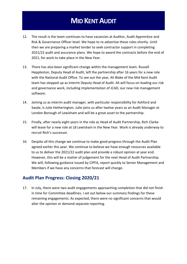- 12. The result is the team continues to have vacancies at Auditor, Audit Apprentice and Risk & Governance Officer level. We hope to re-advertise these roles shortly. Until then we are preparing a market tender to seek contractor support in completing 2021/22 audit and assurance plans. We hope to award the contracts before the end of 2021, for work to take place in the New Year.
- 13. There has also been significant change within the management team. Russell Heppleston, Deputy Head of Audit, left the partnership after 16 years for a new role with the National Audit Office. To see out the year, Ali Blake of the Mid Kent Audit team has stepped up as Interim Deputy Head of Audit. Ali will focus on leading our risk and governance work, including implementation of JCAD, our new risk management software.
- 14. Joining us as interim audit manager, with particular responsibility for Ashford and Swale, is Julie Hetherington. Julie joins us after twelve years as an Audit Manager at London Borough of Lewisham and will be a great asset to the partnership.
- 15. Finally, after nearly eight years in the role as Head of Audit Partnership, Rich Clarke will leave for a new role at LB Lewisham in the New Year. Work is already underway to recruit Rich's successor.
- 16. Despite all this change we continue to make good progress through the Audit Plan agreed earlier this year. We continue to believe we have enough resources available to us to deliver the 2021/22 audit plan and provide a robust opinion at year end. However, this will be a matter of judgement for the next Head of Audit Partnership. We will, following guidance issued by CIPFA, report quickly to Senior Management and Members if we have any concerns that forecast will change.

### **Audit Plan Progress: Closing 2020/21**

17. In July, there were two audit engagements approaching completion that did not finish in time for Committee deadlines. I set out below our summary findings for these remaining engagements. As expected, there were no significant concerns that would alter the opinion or demand separate reporting.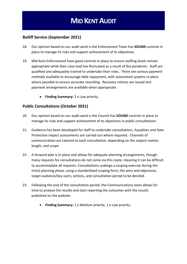#### **Bailiff Service (September 2021)**

- 18. Our opinion based on our audit work is the Enforcement Team has **SOUND** controls in place to manage its risks and support achievement of its objectives.
- 19. Mid Kent Enforcement have good controls in place to ensure staffing levels remain appropriate while their case load has fluctuated as a result of the pandemic. Staff are qualified and adequately trained to undertake their roles. There are various payment methods available to encourage debt repayment, with automated systems in place where possible to ensure accurate recording. Recovery notices are issued and payment arrangements are available when appropriate.
	- **Finding Summary:** 2 x Low priority.

#### **Public Consultations (October 2021)**

- 20. Our opinion based on our audit work is the Council has **SOUND** controls in place to manage its risks and support achievement of its objectives in public consultations.
- 21. Guidance has been developed for staff to undertake consultations. Equalities and Data Protection impact assessments are carried out where required. Channels of communication are tailored to each consultation, depending on the subject matter, length, and scope.
- 22. A forward plan is in place and allows for adequate planning arrangements, though many requests for consultations do not come via this route, meaning it can be difficult to accommodate all requests. Consultations undergo a scoping exercise during the initial planning phase, using a standardised scoping form, the aims and objectives, target audience/key users, actions, and consultation period to be decided.
- 23. Following the end of the consultation period, the Communications team allows for time to analyse the results and start reporting the outcomes with the results published on the website.
	- **Finding Summary:** 1 x Medium priority, 1 x Low priority.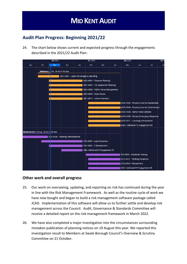## **Audit Plan Progress: Beginning 2021/22**

24. The chart below shows current and expected progress through the engagements described in the 2021/22 Audit Plan:



#### **Other work and overall progress**

- 25. Our work on overseeing, updating, and reporting on risk has continued during the year in line with the Risk Management Framework. As well as the routine cycle of work we have now bought and began to build a risk management software package called JCAD. Implementation of this software will allow us to further settle and develop risk management across the Council. Audit, Governance & Standards Committee will receive a detailed report on the risk management framework in March 2022.
- 26. We have also completed a major investigation into the circumstances surrounding mistaken publication of planning notices on 19 August this year. We reported this investigation result to Members at Swale Borough Council's Overview & Scrutiny Committee on 21 October.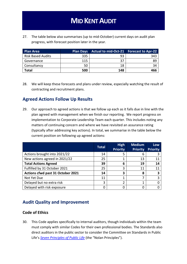27. The table below also summarises (up to mid-October) current days on audit plan progress, with forecast position later in the year.

| <b>Plan Area</b>         | <b>Plan Days</b> | Actual to mid-Oct-21 Forecast to Apr-22 |     |
|--------------------------|------------------|-----------------------------------------|-----|
| <b>Risk Based Audits</b> | 335              | 93                                      | 343 |
| Governance               | 115              | 37                                      | 89  |
| Consultancy              | 50               | 18                                      | 34  |
| <b>Total</b>             | 500              | 148                                     | 466 |

28. We will keep these forecasts and plans under review, especially watching the result of contracting and recruitment plans.

### **Agreed Actions Follow Up Results**

29. Our approach to agreed actions is that we follow up each as it falls due in line with the plan agreed with management when we finish our reporting. We report progress on implementation to Corporate Leadership Team each quarter. This includes noting any matters of continuing concern and where we have revisited an assurance rating (typically after addressing key actions). In total, we summarise in the table below the current position on following up agreed actions:

|                                   | <b>Total</b> | <b>High</b><br><b>Priority</b> | <b>Medium</b><br><b>Priority</b> | <b>Low</b><br><b>Priority</b> |
|-----------------------------------|--------------|--------------------------------|----------------------------------|-------------------------------|
| Actions brought into 2021/22      | 14           | 5                              | 6                                |                               |
| New actions agreed in 2021/22     | 25           |                                | 13                               | 11                            |
| <b>Total Actions Agreed</b>       | 39           | 6                              | 19                               | 14                            |
| Fulfilled by 31 October 2021      | 25           | 3                              | 11                               | 11                            |
| Actions cfwd past 31 October 2021 | 14           | З                              | 8                                | 3                             |
| Not Yet Due                       | 11           |                                |                                  |                               |
| Delayed but no extra risk         | 3            | 2                              |                                  |                               |
| Delayed with risk exposure        |              |                                |                                  |                               |

### **Audit Quality and Improvement**

#### **Code of Ethics**

30. This Code applies specifically to internal auditors, though individuals within the team must comply with similar Codes for their own professional bodies. The Standards also direct auditors in the public sector to consider the Committee on Standards in Public Life's *[Seven Principles of](https://www.gov.uk/government/publications/the-7-principles-of-public-life/the-7-principles-of-public-life--2) Public Life* (the "Nolan Principles").